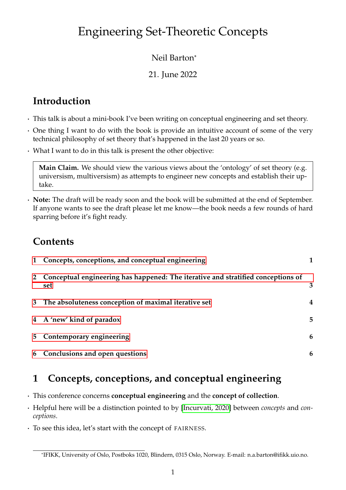# Engineering Set-Theoretic Concepts

#### Neil Barton\*

#### 21. June 2022

# **Introduction**

- · This talk is about a mini-book I've been writing on conceptual engineering and set theory.
- · One thing I want to do with the book is provide an intuitive account of some of the very technical philosophy of set theory that's happened in the last 20 years or so.
- · What I want to do in this talk is present the other objective:

**Main Claim.** We should view the various views about the 'ontology' of set theory (e.g. universism, multiversism) as attempts to engineer new concepts and establish their uptake.

· **Note:** The draft will be ready soon and the book will be submitted at the end of September. If anyone wants to see the draft please let me know—the book needs a few rounds of hard sparring before it's fight ready.

## **Contents**

|                | 1 Concepts, conceptions, and conceptual engineering                                       |   |
|----------------|-------------------------------------------------------------------------------------------|---|
|                | 2 Conceptual engineering has happened: The iterative and stratified conceptions of<br>set | 3 |
|                | 3 The absoluteness conception of maximal iterative set                                    | 4 |
|                | 4 A 'new' kind of paradox                                                                 | 5 |
| 5 <sub>5</sub> | Contemporary engineering                                                                  | 6 |
|                | 6 Conclusions and open questions                                                          | 6 |

## <span id="page-0-0"></span>**1 Concepts, conceptions, and conceptual engineering**

- · This conference concerns **conceptual engineering** and the **concept of collection**.
- · Helpful here will be a distinction pointed to by [\[Incurvati, 2020\]](#page-6-0) between *concepts* and *conceptions*.
- · To see this idea, let's start with the concept of FA IRNESS.

<sup>\*</sup>IFIKK, University of Oslo, Postboks 1020, Blindern, 0315 Oslo, Norway. E-mail: n.a.barton@ifikk.uio.no.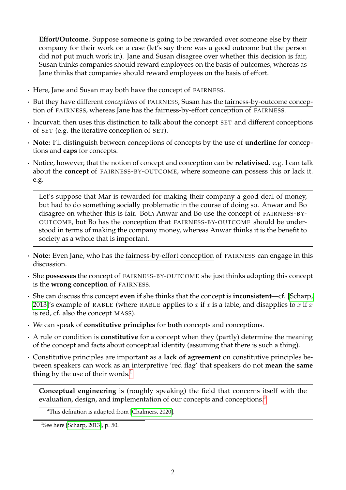**Effort/Outcome.** Suppose someone is going to be rewarded over someone else by their company for their work on a case (let's say there was a good outcome but the person did not put much work in). Jane and Susan disagree over whether this decision is fair, Susan thinks companies should reward employees on the basis of outcomes, whereas as Jane thinks that companies should reward employees on the basis of effort.

- · Here, Jane and Susan may both have the concept of FA IRNESS.
- · But they have different *conceptions* of FA IRNESS, Susan has the fairness-by-outcome conception of FAIRNESS, whereas Jane has the fairness-by-effort conception of FAIRNESS.
- · Incurvati then uses this distinction to talk about the concept SET and different conceptions of SET (e.g. the iterative conception of SET).
- · **Note:** I'll distinguish between conceptions of concepts by the use of **underline** for conceptions and **caps** for concepts.
- · Notice, however, that the notion of concept and conception can be **relativised**. e.g. I can talk about the **concept** of FAIRNESS-BY-OUTCOME, where someone can possess this or lack it. e.g.

Let's suppose that Mar is rewarded for making their company a good deal of money, but had to do something socially problematic in the course of doing so. Anwar and Bo disagree on whether this is fair. Both Anwar and Bo use the concept of FAIRNESS-BY-OUTCOME, but Bo has the conception that FA IRNESS-BY-OUTCOME should be understood in terms of making the company money, whereas Anwar thinks it is the benefit to society as a whole that is important.

- · **Note:** Even Jane, who has the fairness-by-effort conception of FA IRNESS can engage in this discussion.
- · She **possesses** the concept of FA IRNESS-BY-OUTCOME she just thinks adopting this concept is the **wrong conception** of **FAIRNESS**.
- · She can discuss this concept **even if** she thinks that the concept is **inconsistent**—cf. [\[Scharp,](#page-6-1) [2013\]](#page-6-1)'s example of RABLE (where RABLE applies to x if x is a table, and disapplies to x if x is red, cf. also the concept MASS).
- · We can speak of **constitutive principles** for **both** concepts and conceptions.
- · A rule or condition is **constitutive** for a concept when they (partly) determine the meaning of the concept and facts about conceptual identity (assuming that there is such a thing).
- · Constitutive principles are important as a **lack of agreement** on constitutive principles between speakers can work as an interpretive 'red flag' that speakers do not **mean the same thing** by the use of their words.<sup>[1](#page-1-0)</sup>

**Conceptual engineering** is (roughly speaking) the field that concerns itself with the evaluation, design, and implementation of our concepts and conceptions.*[a](#page-1-1)*

<span id="page-1-1"></span>*<sup>a</sup>*This definition is adapted from [\[Chalmers, 2020\]](#page-6-2).

<span id="page-1-0"></span><sup>&</sup>lt;sup>1</sup>See here [\[Scharp, 2013\]](#page-6-1), p. 50.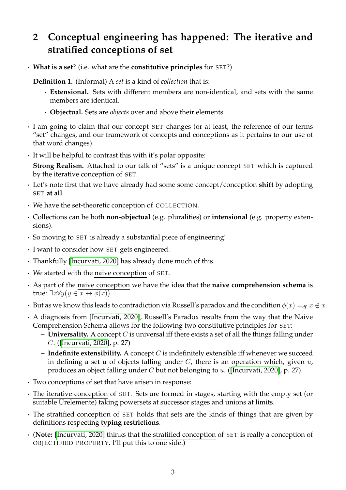# <span id="page-2-0"></span>**2 Conceptual engineering has happened: The iterative and stratified conceptions of set**

· **What is a set**? (i.e. what are the **constitutive principles** for SET?)

**Definition 1.** (Informal) A *set* is a kind of *collection* that is:

- · **Extensional.** Sets with different members are non-identical, and sets with the same members are identical.
- · **Objectual.** Sets are *objects* over and above their elements.
- · I am going to claim that our concept SET changes (or at least, the reference of our terms "set" changes, and our framework of concepts and conceptions as it pertains to our use of that word changes).
- · It will be helpful to contrast this with it's polar opposite:

**Strong Realism.** Attached to our talk of "sets" is a unique concept SET which is captured by the iterative conception of SET.

- · Let's note first that we have already had some some concept/conception **shift** by adopting SET **at all**.
- · We have the set-theoretic conception of COLLECT ION.
- · Collections can be both **non-objectual** (e.g. pluralities) or **intensional** (e.g. property extensions).
- · So moving to SET is already a substantial piece of engineering!
- · I want to consider how SET gets engineered.
- · Thankfully [\[Incurvati, 2020\]](#page-6-0) has already done much of this.
- · We started with the naive conception of SET.
- · As part of the naive conception we have the idea that the **naive comprehension schema** is true:  $\exists x \forall y \big(y \in \overline{x} \leftrightarrow \phi(x)\big)$
- But as we know this leads to contradiction via Russell's paradox and the condition  $\phi(x) =_{df} x \notin x$ .
- · A diagnosis from [\[Incurvati, 2020\]](#page-6-0), Russell's Paradox results from the way that the Naive Comprehension Schema allows for the following two constitutive principles for SET:
	- **– Universality.** A concept C is universal iff there exists a set of all the things falling under C. ([\[Incurvati, 2020\]](#page-6-0), p. 27)
	- **– Indefinite extensibility.** A concept C is indefinitely extensible iff whenever we succeed in defining a set u of objects falling under  $C$ , there is an operation which, given  $u$ , produces an object falling under  $C$  but not belonging to  $u$ . ([\[Incurvati, 2020\]](#page-6-0), p. 27)
- · Two conceptions of set that have arisen in response:
- · The iterative conception of SET. Sets are formed in stages, starting with the empty set (or suitable Urelemente) taking powersets at successor stages and unions at limits.
- · The stratified conception of SET holds that sets are the kinds of things that are given by definitions respecting **typing restrictions**.
- · (**Note:** [\[Incurvati, 2020\]](#page-6-0) thinks that the stratified conception of SET is really a conception of OBJECTIFIED PROPERTY. I'll put this to one side.)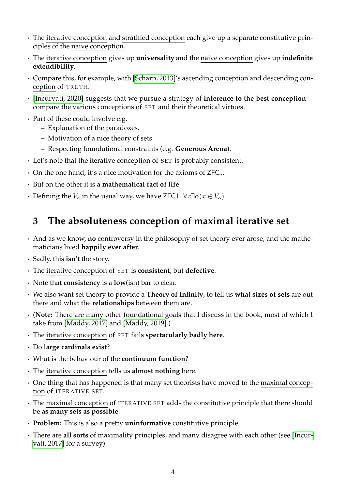- · The iterative conception and stratified conception each give up a separate constitutive principles of the naive conception.
- · The iterative conception gives up **universality** and the naive conception gives up **indefinite extendibility**.
- · Compare this, for example, with [\[Scharp, 2013\]](#page-6-1)'s ascending conception and descending conception of TRUTH.
- · [\[Incurvati, 2020\]](#page-6-0) suggests that we pursue a strategy of **inference to the best conception** compare the various conceptions of SET and their theoretical virtues.
- · Part of these could involve e.g.
	- **–** Explanation of the paradoxes.
	- **–** Motivation of a nice theory of sets.
	- **–** Respecting foundational constraints (e.g. **Generous Arena**).
- · Let's note that the iterative conception of SET is probably consistent.
- · On the one hand, it's a nice motivation for the axioms of ZFC...
- · But on the other it is a **mathematical fact of life**:
- Defining the  $V_\alpha$  in the usual way, we have ZFC  $\vdash \forall x \exists \alpha (x \in V_\alpha)$

## <span id="page-3-0"></span>**3 The absoluteness conception of maximal iterative set**

- · And as we know, **no** controversy in the philosophy of set theory ever arose, and the mathematicians lived **happily ever after**.
- · Sadly, this **isn't** the story.
- · The iterative conception of SET is **consistent**, but **defective**.
- · Note that **consistency** is a **low**(ish) bar to clear.
- · We also want set theory to provide a **Theory of Infinity**, to tell us **what sizes of sets** are out there and what the **relationships** between them are.
- · (**Note:** There are many other foundational goals that I discuss in the book, most of which I take from [\[Maddy, 2017\]](#page-6-3) and [\[Maddy, 2019\]](#page-6-4).)
- · The iterative conception of SET fails **spectacularly badly here**.
- · Do **large cardinals exist**?
- · What is the behaviour of the **continuum function**?
- · The iterative conception tells us **almost nothing** here.
- · One thing that has happened is that many set theorists have moved to the maximal conception of ITERATIVE SET.
- · The maximal conception of ITERAT IVE SET adds the constitutive principle that there should be **as many sets as possible**.
- · **Problem:** This is also a pretty **uninformative** constitutive principle.
- · There are **all sorts** of maximality principles, and many disagree with each other (see [\[Incur](#page-6-5)[vati, 2017\]](#page-6-5) for a survey).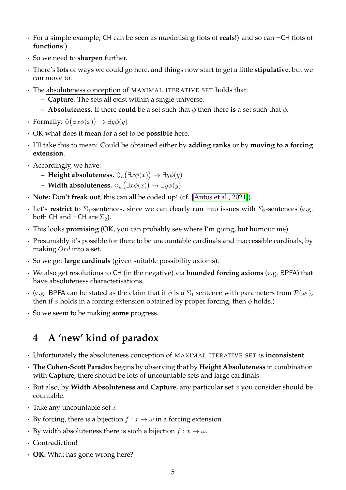- · For a simple example, CH can be seen as maximising (lots of **reals**!) and so can ¬CH (lots of **functions**!).
- · So we need to **sharpen** further.
- · There's **lots** of ways we could go here, and things now start to get a little **stipulative**, but we can move to:
- · The absoluteness conception of MAX IMAL ITERAT IVE SET holds that:
	- **– Capture.** The sets all exist within a single universe.
	- **– Absoluteness.** If there **could** be a set such that  $\phi$  then there **is** a set such that  $\phi$ .
- Formally:  $\Diamond(\exists x \phi(x)) \rightarrow \exists y \phi(y)$
- · OK what does it mean for a set to be **possible** here.
- · I'll take this to mean: Could be obtained either by **adding ranks** or by **moving to a forcing extension**.
- · Accordingly, we have:
	- **Height absoluteness.**  $\Diamond_h(\exists x \phi(x)) \rightarrow \exists y \phi(y)$
	- $-$  Width absoluteness.  $\Diamond_w(\exists x \phi(x)) \rightarrow \exists y \phi(y)$
- · **Note:** Don't **freak out**, this can all be coded up! (cf. [\[Antos et al., 2021\]](#page-6-6)).
- Let's **restrict** to  $\Sigma_1$ -sentences, since we can clearly run into issues with  $\Sigma_2$ -sentences (e.g. both CH and  $\neg$ CH are  $\Sigma_2$ ).
- · This looks **promising** (OK, you can probably see where I'm going, but humour me).
- · Presumably it's possible for there to be uncountable cardinals and inaccessible cardinals, by making Ord into a set.
- · So we get **large cardinals** (given suitable possibility axioms).
- · We also get resolutions to CH (in the negative) via **bounded forcing axioms** (e.g. BPFA) that have absoluteness characterisations.
- (e.g. BPFA can be stated as the claim that if  $\phi$  is a  $\Sigma_1$  sentence with parameters from  $\mathcal{P}(\omega_1)$ , then if  $\phi$  holds in a forcing extension obtained by proper forcing, then  $\phi$  holds.)
- · So we seem to be making **some** progress.

## <span id="page-4-0"></span>**4 A 'new' kind of paradox**

- · Unfortunately the absoluteness conception of MAX IMAL ITERAT IVE SET is **inconsistent**.
- · **The Cohen-Scott Paradox** begins by observing that by **Height Absoluteness** in combination with **Capture**, there should be lots of uncountable sets and large cardinals.
- But also, by **Width Absoluteness** and **Capture**, any particular set x you consider should be countable.
- $\cdot$  Take any uncountable set x.
- By forcing, there is a bijection  $f : x \to \omega$  in a forcing extension.
- By width absoluteness there is such a bijection  $f: x \to \omega$ .
- · Contradiction!
- · **OK:** What has gone wrong here?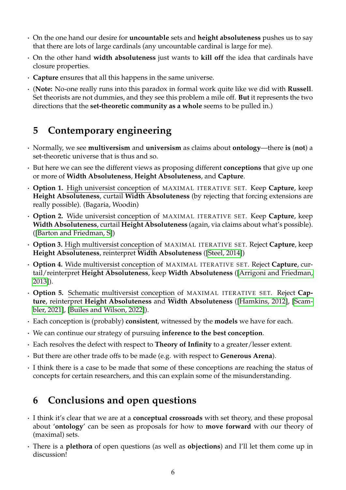- · On the one hand our desire for **uncountable** sets and **height absoluteness** pushes us to say that there are lots of large cardinals (any uncountable cardinal is large for me).
- · On the other hand **width absoluteness** just wants to **kill off** the idea that cardinals have closure properties.
- · **Capture** ensures that all this happens in the same universe.
- · (**Note:** No-one really runs into this paradox in formal work quite like we did with **Russell**. Set theorists are not dummies, and they see this problem a mile off. **But** it represents the two directions that the **set-theoretic community as a whole** seems to be pulled in.)

#### <span id="page-5-0"></span>**5 Contemporary engineering**

- · Normally, we see **multiversism** and **universism** as claims about **ontology**—there **is** (**not**) a set-theoretic universe that is thus and so.
- · But here we can see the different views as proposing different **conceptions** that give up one or more of **Width Absoluteness**, **Height Absoluteness**, and **Capture**.
- · **Option 1.** High universist conception of MAX IMAL ITERAT IVE SET. Keep **Capture**, keep **Height Absoluteness**, curtail **Width Absoluteness** (by rejecting that forcing extensions are really possible). (Bagaria, Woodin)
- · **Option 2.** Wide universist conception of MAX IMAL ITERAT IVE SET. Keep **Capture**, keep **Width Absoluteness**, curtail **Height Absoluteness** (again, via claims about what's possible). ([\[Barton and Friedman, S\]](#page-6-7))
- · **Option 3.** High multiversist conception of MAX IMAL ITERAT IVE SET. Reject **Capture**, keep **Height Absoluteness**, reinterpret **Width Absoluteness** ([\[Steel, 2014\]](#page-6-8))
- · **Option 4.** Wide multiversist conception of MAX IMAL ITERAT IVE SET. Reject **Capture**, curtail/reinterpret **Height Absoluteness**, keep **Width Absoluteness** ([\[Arrigoni and Friedman,](#page-6-9) [2013\]](#page-6-9)).
- **Option 5.** Schematic multiversist conception of MAXIMAL ITERATIVE SET. Reject Cap**ture**, reinterpret **Height Absoluteness** and **Width Absoluteness** ([\[Hamkins, 2012\]](#page-6-10), [\[Scam](#page-6-11)[bler, 2021\]](#page-6-11), [\[Builes and Wilson, 2022\]](#page-6-12)).
- · Each conception is (probably) **consistent**, witnessed by the **models** we have for each.
- · We can continue our strategy of pursuing **inference to the best conception**.
- · Each resolves the defect with respect to **Theory of Infinity** to a greater/lesser extent.
- · But there are other trade offs to be made (e.g. with respect to **Generous Arena**).
- · I think there is a case to be made that some of these conceptions are reaching the status of concepts for certain researchers, and this can explain some of the misunderstanding.

#### <span id="page-5-1"></span>**6 Conclusions and open questions**

- · I think it's clear that we are at a **conceptual crossroads** with set theory, and these proposal about '**ontology**' can be seen as proposals for how to **move forward** with our theory of (maximal) sets.
- · There is a **plethora** of open questions (as well as **objections**) and I'll let them come up in discussion!